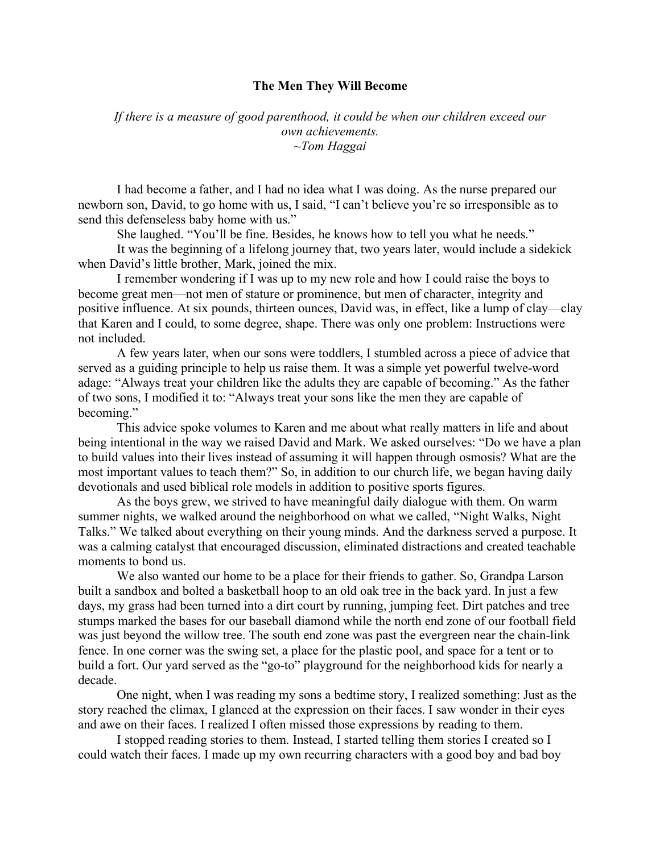## **The Men They Will Become**

*If there is a measure of good parenthood, it could be when our children exceed our own achievements. ~Tom Haggai* 

I had become a father, and I had no idea what I was doing. As the nurse prepared our newborn son, David, to go home with us, I said, "I can't believe you're so irresponsible as to send this defenseless baby home with us."

She laughed. "You'll be fine. Besides, he knows how to tell you what he needs."

It was the beginning of a lifelong journey that, two years later, would include a sidekick when David's little brother, Mark, joined the mix.

I remember wondering if I was up to my new role and how I could raise the boys to become great men—not men of stature or prominence, but men of character, integrity and positive influence. At six pounds, thirteen ounces, David was, in effect, like a lump of clay—clay that Karen and I could, to some degree, shape. There was only one problem: Instructions were not included.

A few years later, when our sons were toddlers, I stumbled across a piece of advice that served as a guiding principle to help us raise them. It was a simple yet powerful twelve-word adage: "Always treat your children like the adults they are capable of becoming." As the father of two sons, I modified it to: "Always treat your sons like the men they are capable of becoming."

This advice spoke volumes to Karen and me about what really matters in life and about being intentional in the way we raised David and Mark. We asked ourselves: "Do we have a plan to build values into their lives instead of assuming it will happen through osmosis? What are the most important values to teach them?" So, in addition to our church life, we began having daily devotionals and used biblical role models in addition to positive sports figures.

As the boys grew, we strived to have meaningful daily dialogue with them. On warm summer nights, we walked around the neighborhood on what we called, "Night Walks, Night Talks." We talked about everything on their young minds. And the darkness served a purpose. It was a calming catalyst that encouraged discussion, eliminated distractions and created teachable moments to bond us.

We also wanted our home to be a place for their friends to gather. So, Grandpa Larson built a sandbox and bolted a basketball hoop to an old oak tree in the back yard. In just a few days, my grass had been turned into a dirt court by running, jumping feet. Dirt patches and tree stumps marked the bases for our baseball diamond while the north end zone of our football field was just beyond the willow tree. The south end zone was past the evergreen near the chain-link fence. In one corner was the swing set, a place for the plastic pool, and space for a tent or to build a fort. Our yard served as the "go-to" playground for the neighborhood kids for nearly a decade.

One night, when I was reading my sons a bedtime story, I realized something: Just as the story reached the climax, I glanced at the expression on their faces. I saw wonder in their eyes and awe on their faces. I realized I often missed those expressions by reading to them.

I stopped reading stories to them. Instead, I started telling them stories I created so I could watch their faces. I made up my own recurring characters with a good boy and bad boy